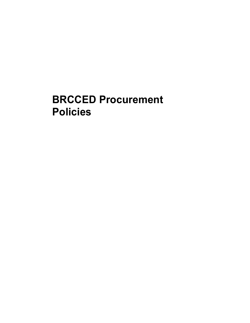# **BRCCED Procurement Policies**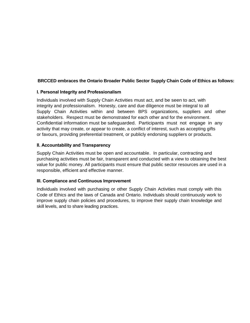# **BRCCED embraces the Ontario Broader Public Sector Supply Chain Code of Ethics as follows:**

### **I. Personal Integrity and Professionalism**

Individuals involved with Supply Chain Activities must act, and be seen to act, with integrity and professionalism. Honesty, care and due diligence must be integral to all Supply Chain Activities within and between BPS organizations, suppliers and other stakeholders. Respect must be demonstrated for each other and for the environment. Confidential information must be safeguarded. Participants must not engage in any activity that may create, or appear to create, a conflict of interest, such as accepting gifts or favours, providing preferential treatment, or publicly endorsing suppliers or products.

### **II. Accountability and Transparency**

Supply Chain Activities must be open and accountable. In particular, contracting and purchasing activities must be fair, transparent and conducted with a view to obtaining the best value for public money. All participants must ensure that public sector resources are used in a responsible, efficient and effective manner.

# **III. Compliance and Continuous Improvement**

Individuals involved with purchasing or other Supply Chain Activities must comply with this Code of Ethics and the laws of Canada and Ontario. Individuals should continuously work to improve supply chain policies and procedures, to improve their supply chain knowledge and skill levels, and to share leading practices.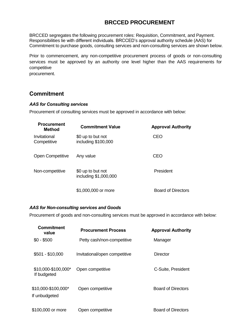# **BRCCED PROCUREMENT**

BRCCED segregates the following procurement roles: Requisition, Commitment, and Payment. Responsibilities lie with different individuals. BRCCED's approval authority schedule (AAS) for Commitment to purchase goods, consulting services and non-consulting services are shown below.

Prior to commencement, any non-competitive procurement process of goods or non-consulting services must be approved by an authority one level higher than the AAS requirements for competitive

procurement.

# **Commitment**

### *AAS for Consulting services*

Procurement of consulting services must be approved in accordance with below:

| <b>Procurement</b><br>Method | <b>Commitment Value</b>                    | <b>Approval Authority</b> |
|------------------------------|--------------------------------------------|---------------------------|
| Invitational<br>Competitive  | \$0 up to but not<br>including \$100,000   | <b>CEO</b>                |
| <b>Open Competitive</b>      | Any value                                  | CEO                       |
| Non-competitive              | \$0 up to but not<br>including \$1,000,000 | President                 |
|                              | \$1,000,000 or more                        | <b>Board of Directors</b> |

#### *AAS for Non-consulting services and Goods*

Procurement of goods and non-consulting services must be approved in accordance with below:

| Commitment<br>value                  | <b>Procurement Process</b>    | <b>Approval Authority</b> |
|--------------------------------------|-------------------------------|---------------------------|
| $$0 - $500$                          | Petty cash/non-competitive    | Manager                   |
| $$501 - $10,000$                     | Invitational/open competitive | Director                  |
| \$10,000-\$100,000*<br>If budgeted   | Open competitive              | C-Suite, President        |
| \$10,000-\$100,000*<br>If unbudgeted | Open competitive              | Board of Directors        |
| \$100,000 or more                    | Open competitive              | <b>Board of Directors</b> |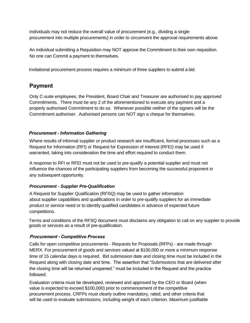Individuals may not reduce the overall value of procurement (e.g., dividing a single procurement into multiple procurements) in order to circumvent the approval requirements above.

An individual submitting a Requisition may NOT approve the Commitment to their own requisition. No one can Commit a payment to themselves.

Invitational procurement process requires a minimum of three suppliers to submit a bid.

# **Payment**

Only C-suite employees, the President, Board Chair and Treasurer are authorised to pay approved Commitments. There must be any 2 of the aforementioned to execute any payment and a properly authorised Commitment to do so. Whenever possible neither of the signers will be the Commitment authoriser. Authorised persons can NOT sign a cheque for themselves.

# *Procurement - Information Gathering*

Where results of informal supplier or product research are insufficient, formal processes such as a Request for Information (RFI) or Request for Expression of Interest (RFEI) may be used if warranted, taking into consideration the time and effort required to conduct them.

A response to RFI or RFEI must not be used to pre-qualify a potential supplier and must not influence the chances of the participating suppliers from becoming the successful proponent in any subsequent opportunity.

# *Procurement - Supplier Pre-Qualification*

A Request for Supplier Qualification (RFSQ) may be used to gather information about supplier capabilities and qualifications in order to pre-qualify suppliers for an immediate product or service need or to identify qualified candidates in advance of expected future competitions.

Terms and conditions of the RFSQ document must disclaims any obligation to call on any supplier to provide goods or services as a result of pre-qualification.

# **Procurement -** *Competitive Process*

Calls for open competitive procurements - Requests for Proposals (RFPs) - are made through MERX. For procurement of goods and services valued at \$100,000 or more a minimum response time of 15 calendar days is required. Bid submission date and closing time must be included in the Request along with closing date and time. The assertion that "Submissions that are delivered after the closing time will be returned unopened." must be included in the Request and the practice followed.

Evaluation criteria must be developed, reviewed and approved by the CEO or Board (when value is expected to exceed \$100,000) prior to commencement of the competitive procurement process. CRFPs must clearly outline mandatory, rated, and other criteria that will be used to evaluate submissions, including weight of each criterion. Maximum justifiable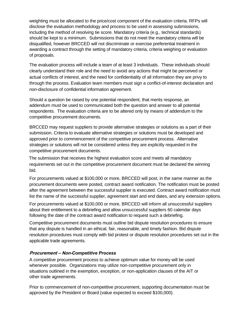weighting must be allocated to the price/cost component of the evaluation criteria. RFPs will disclose the evaluation methodology and process to be used in assessing submissions, including the method of resolving tie score. Mandatory criteria (e.g., technical standards) should be kept to a minimum. Submissions that do not meet the mandatory criteria will be disqualified, however BRCCED will not discriminate or exercise preferential treatment in awarding a contract through the setting of mandatory criteria, criteria weighing or evaluation of proposals.

The evaluation process will include a team of at least 3 individuals. These individuals should clearly understand their role and the need to avoid any actions that might be perceived or actual conflicts of interest, and the need for confidentiality of all information they are privy to through the process. Evaluation team members must sign a conflict-of-interest declaration and non-disclosure of confidential information agreement.

Should a question be raised by one potential respondent, that merits response, an addendum must be used to communicated both the question and answer to all potential respondents. The evaluation criteria are to be altered only by means of addendum to the competitive procurement documents.

BRCCED may request suppliers to provide alternative strategies or solutions as a part of their submission. Criteria to evaluate alternative strategies or solutions must be developed and approved prior to commencement of the competitive procurement process. Alternative strategies or solutions will not be considered unless they are explicitly requested in the competitive procurement documents.

The submission that receives the highest evaluation score and meets all mandatory requirements set out in the competitive procurement document must be declared the winning bid.

For procurements valued at \$100,000 or more, BRCCED will post, in the same manner as the procurement documents were posted, contract award notification. The notification must be posted after the agreement between the successful supplier is executed. Contract award notification must list the name of the successful supplier, agreement start and end dates, and any extension options.

For procurements valued at \$100,000 or more, BRCCED will inform all unsuccessful suppliers about their entitlement to a debriefing and allow unsuccessful suppliers 60 calendar days following the date of the contract award notification to request such a debriefing.

Competitive procurement documents must outline bid dispute resolution procedures to ensure that any dispute is handled in an ethical, fair, reasonable, and timely fashion. Bid dispute resolution procedures must comply with bid protest or dispute resolution procedures set out in the applicable trade agreements.

# **Procurement – Non-***Competitive Process*

A competitive procurement process to achieve optimum value for money will be used whenever possible. Organizations may utilize non-competitive procurement only in situations outlined in the exemption, exception, or non-application clauses of the AIT or other trade agreements.

Prior to commencement of non-competitive procurement, supporting documentation must be approved by the President or Board (value expected to exceed \$100,000).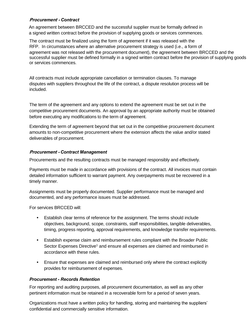# **Procurement -** *Contract*

An agreement between BRCCED and the successful supplier must be formally defined in a signed written contract before the provision of supplying goods or services commences.

The contract must be finalized using the form of agreement if it was released with the RFP. In circumstances where an alternative procurement strategy is used (i.e., a form of agreement was not released with the procurement document), the agreement between BRCCED and the successful supplier must be defined formally in a signed written contract before the provision of supplying goods or services commences.

All contracts must include appropriate cancellation or termination clauses. To manage disputes with suppliers throughout the life of the contract, a dispute resolution process will be included.

The term of the agreement and any options to extend the agreement must be set out in the competitive procurement documents. An approval by an appropriate authority must be obtained before executing any modifications to the term of agreement.

Extending the term of agreement beyond that set out in the competitive procurement document amounts to non-competitive procurement where the extension affects the value and/or stated deliverables of procurement.

### **Procurement -** *Contract Management*

Procurements and the resulting contracts must be managed responsibly and effectively.

Payments must be made in accordance with provisions of the contract. All invoices must contain detailed information sufficient to warrant payment. Any overpayments must be recovered in a timely manner.

Assignments must be properly documented. Supplier performance must be managed and documented, and any performance issues must be addressed.

For services BRCCED will:

- Establish clear terms of reference for the assignment. The terms should include objectives, background, scope, constraints, staff responsibilities, tangible deliverables, timing, progress reporting, approval requirements, and knowledge transfer requirements.
- Establish expense claim and reimbursement rules compliant with the Broader Public Sector Expenses Directive<sup>1</sup> and ensure all expenses are claimed and reimbursed in accordance with these rules.
- **•** Ensure that expenses are claimed and reimbursed only where the contract explicitly provides for reimbursement of expenses.

# *Procurement - Records Retention*

For reporting and auditing purposes, all procurement documentation, as well as any other pertinent information must be retained in a recoverable form for a period of seven years.

Organizations must have a written policy for handling, storing and maintaining the suppliers' confidential and commercially sensitive information.